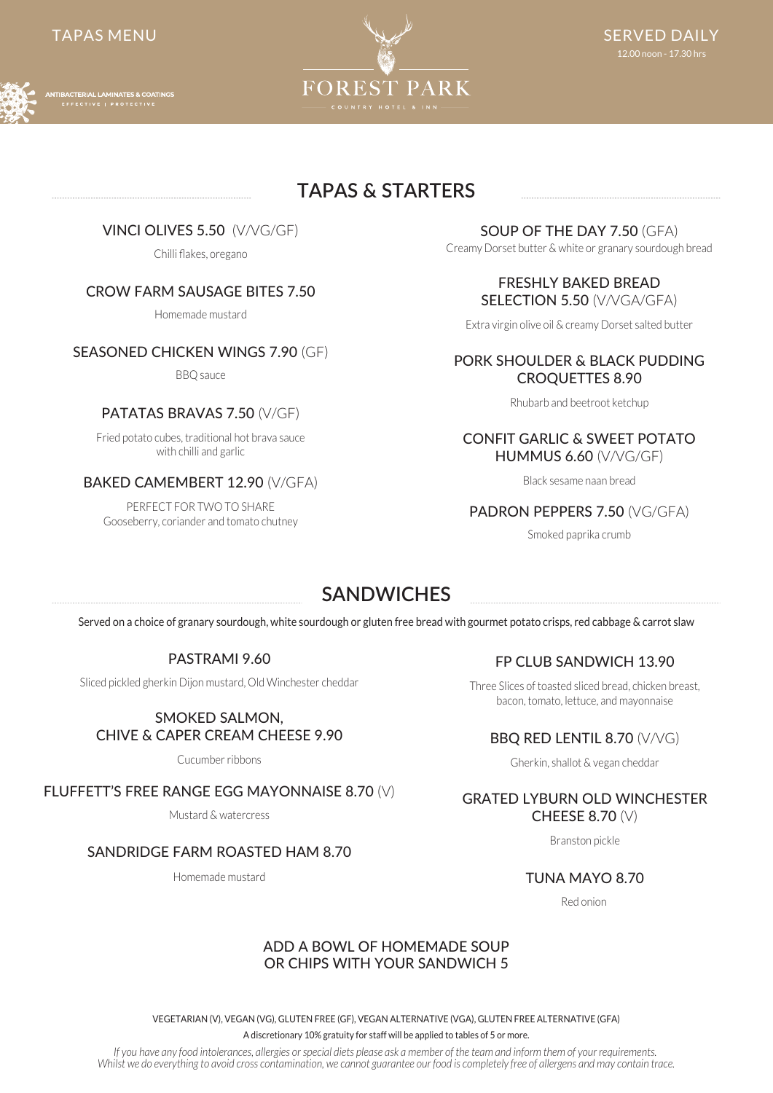

# **TAPAS & STARTERS**

VINCI OLIVES 5.50 (V/VG/GF)

Chilli flakes, oregano

# CROW FARM SAUSAGE BITES 7.50

Homemade mustard

# SEASONED CHICKEN WINGS 7.90 (GF)

BBQ sauce

# PATATAS BRAVAS 7.50 (V/GF)

Fried potato cubes, traditional hot brava sauce with chilli and garlic

# BAKED CAMEMBERT 12.90 (V/GFA)

PERFECT FOR TWO TO SHARE Gooseberry, coriander and tomato chutney

#### SOUP OF THE DAY 7.50 (GFA)

Creamy Dorset butter & white or granary sourdough bread

#### FRESHLY BAKED BREAD SELECTION 5.50 (V/VGA/GFA)

Extra virgin olive oil & creamy Dorset salted butter

#### PORK SHOULDER & BLACK PUDDING CROQUETTES 8.90

Rhubarb and beetroot ketchup

#### CONFIT GARLIC & SWEET POTATO HUMMUS 6.60 (V/VG/GF)

Black sesame naan bread

# PADRON PEPPERS 7.50 (VG/GFA)

Smoked paprika crumb

# **SANDWICHES**

Served on a choice of granary sourdough, white sourdough or gluten free bread with gourmet potato crisps, red cabbage & carrot slaw

# PASTRAMI 9.60

Sliced pickled gherkin Dijon mustard, Old Winchester cheddar

#### SMOKED SALMON, CHIVE & CAPER CREAM CHEESE 9.90

Cucumber ribbons

### FLUFFETT'S FREE RANGE EGG MAYONNAISE 8.70 (V)

Mustard & watercress

### SANDRIDGE FARM ROASTED HAM 8.70

Homemade mustard

# FP CLUB SANDWICH 13.90

Three Slices of toasted sliced bread, chicken breast, bacon, tomato, lettuce, and mayonnaise

# BBQ RED LENTIL 8.70 (V/VG)

Gherkin, shallot & vegan cheddar

#### GRATED LYBURN OLD WINCHESTER CHEESE 8.70 (V)

Branston pickle

TUNA MAYO 8.70

Red onion

### ADD A BOWL OF HOMEMADE SOUP OR CHIPS WITH YOUR SANDWICH 5

VEGETARIAN (V), VEGAN (VG), GLUTEN FREE (GF), VEGAN ALTERNATIVE (VGA), GLUTEN FREE ALTERNATIVE (GFA)

A discretionary 10% gratuity for staff will be applied to tables of 5 or more.

*If you have any food intolerances, allergies or special diets please ask a member of the team and inform them of your requirements. Whilst we do everything to avoid cross contamination, we cannot guarantee our food is completely free of allergens and may contain trace.*